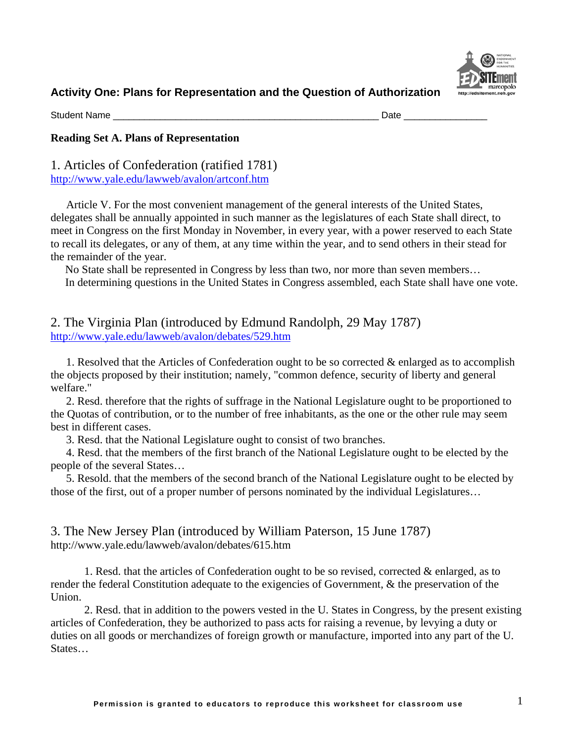

Student Name \_\_\_\_\_\_\_\_\_\_\_\_\_\_\_\_\_\_\_\_\_\_\_\_\_\_\_\_\_\_\_\_\_\_\_\_\_\_\_\_\_\_\_\_\_\_\_\_\_\_\_ Date \_\_\_\_\_\_\_\_\_\_\_\_\_\_\_\_

#### **Reading Set A. Plans of Representation**

1. Articles of Confederation (ratified 1781) <http://www.yale.edu/lawweb/avalon/artconf.htm>

Article V. For the most convenient management of the general interests of the United States, delegates shall be annually appointed in such manner as the legislatures of each State shall direct, to meet in Congress on the first Monday in November, in every year, with a power reserved to each State to recall its delegates, or any of them, at any time within the year, and to send others in their stead for the remainder of the year.

No State shall be represented in Congress by less than two, nor more than seven members… In determining questions in the United States in Congress assembled, each State shall have one vote.

## 2. The Virginia Plan (introduced by Edmund Randolph, 29 May 1787) <http://www.yale.edu/lawweb/avalon/debates/529.htm>

1. Resolved that the Articles of Confederation ought to be so corrected & enlarged as to accomplish the objects proposed by their institution; namely, "common defence, security of liberty and general welfare."

2. Resd. therefore that the rights of suffrage in the National Legislature ought to be proportioned to the Quotas of contribution, or to the number of free inhabitants, as the one or the other rule may seem best in different cases.

3. Resd. that the National Legislature ought to consist of two branches.

4. Resd. that the members of the first branch of the National Legislature ought to be elected by the people of the several States…

5. Resold. that the members of the second branch of the National Legislature ought to be elected by those of the first, out of a proper number of persons nominated by the individual Legislatures…

3. The New Jersey Plan (introduced by William Paterson, 15 June 1787) http://www.yale.edu/lawweb/avalon/debates/615.htm

1. Resd. that the articles of Confederation ought to be so revised, corrected & enlarged, as to render the federal Constitution adequate to the exigencies of Government, & the preservation of the Union.

2. Resd. that in addition to the powers vested in the U. States in Congress, by the present existing articles of Confederation, they be authorized to pass acts for raising a revenue, by levying a duty or duties on all goods or merchandizes of foreign growth or manufacture, imported into any part of the U. States…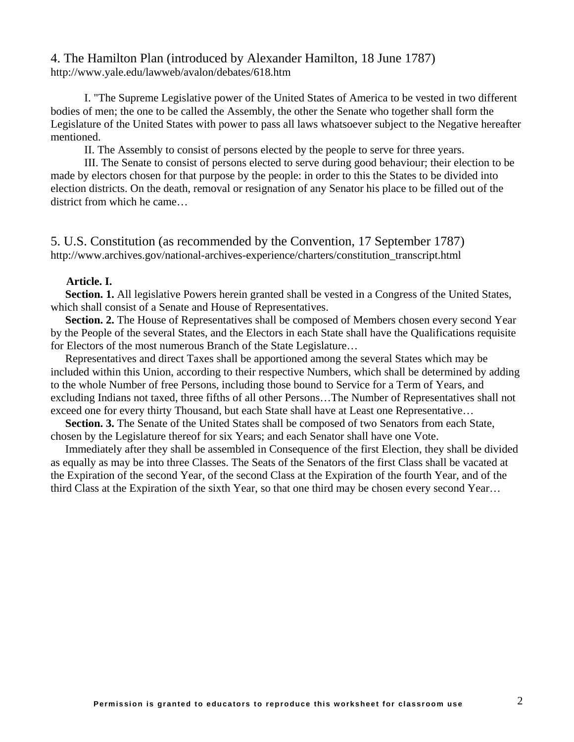### 4. The Hamilton Plan (introduced by Alexander Hamilton, 18 June 1787) http://www.yale.edu/lawweb/avalon/debates/618.htm

I. "The Supreme Legislative power of the United States of America to be vested in two different bodies of men; the one to be called the Assembly, the other the Senate who together shall form the Legislature of the United States with power to pass all laws whatsoever subject to the Negative hereafter mentioned.

II. The Assembly to consist of persons elected by the people to serve for three years.

III. The Senate to consist of persons elected to serve during good behaviour; their election to be made by electors chosen for that purpose by the people: in order to this the States to be divided into election districts. On the death, removal or resignation of any Senator his place to be filled out of the district from which he came…

5. U.S. Constitution (as recommended by the Convention, 17 September 1787) http://www.archives.gov/national-archives-experience/charters/constitution\_transcript.html

#### **Article. I.**

**Section. 1.** All legislative Powers herein granted shall be vested in a Congress of the United States, which shall consist of a Senate and House of Representatives.

**Section. 2.** The House of Representatives shall be composed of Members chosen every second Year by the People of the several States, and the Electors in each State shall have the Qualifications requisite for Electors of the most numerous Branch of the State Legislature…

Representatives and direct Taxes shall be apportioned among the several States which may be included within this Union, according to their respective Numbers, which shall be determined by adding to the whole Number of free Persons, including those bound to Service for a Term of Years, and excluding Indians not taxed, three fifths of all other Persons…The Number of Representatives shall not exceed one for every thirty Thousand, but each State shall have at Least one Representative…

**Section. 3.** The Senate of the United States shall be composed of two Senators from each State, chosen by the Legislature thereof for six Years; and each Senator shall have one Vote.

Immediately after they shall be assembled in Consequence of the first Election, they shall be divided as equally as may be into three Classes. The Seats of the Senators of the first Class shall be vacated at the Expiration of the second Year, of the second Class at the Expiration of the fourth Year, and of the third Class at the Expiration of the sixth Year, so that one third may be chosen every second Year…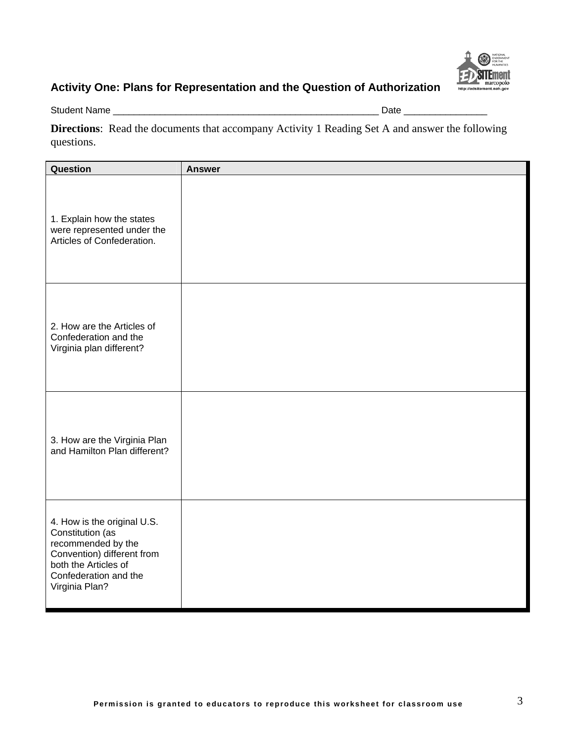

Student Name \_\_\_\_\_\_\_\_\_\_\_\_\_\_\_\_\_\_\_\_\_\_\_\_\_\_\_\_\_\_\_\_\_\_\_\_\_\_\_\_\_\_\_\_\_\_\_\_\_\_\_ Date \_\_\_\_\_\_\_\_\_\_\_\_\_\_\_\_

**Directions**: Read the documents that accompany Activity 1 Reading Set A and answer the following questions.

| Question                                                                                                                                                               | <b>Answer</b> |
|------------------------------------------------------------------------------------------------------------------------------------------------------------------------|---------------|
| 1. Explain how the states<br>were represented under the<br>Articles of Confederation.                                                                                  |               |
| 2. How are the Articles of<br>Confederation and the<br>Virginia plan different?                                                                                        |               |
| 3. How are the Virginia Plan<br>and Hamilton Plan different?                                                                                                           |               |
| 4. How is the original U.S.<br>Constitution (as<br>recommended by the<br>Convention) different from<br>both the Articles of<br>Confederation and the<br>Virginia Plan? |               |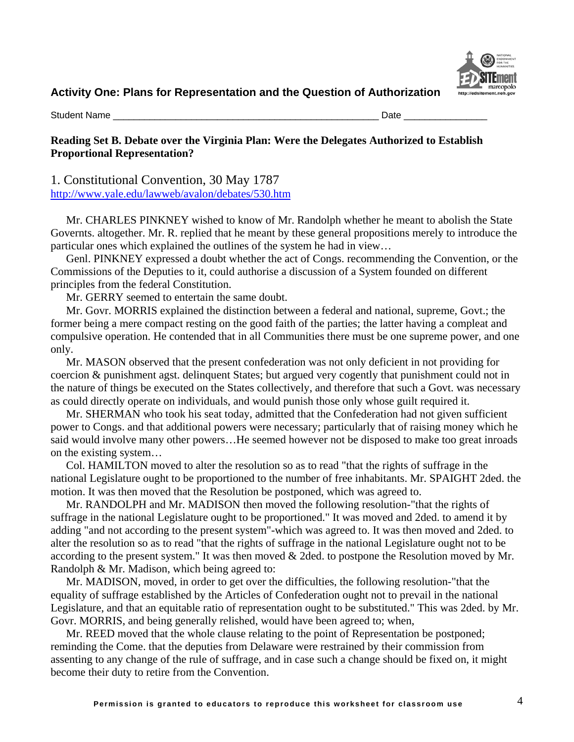

Student Name \_\_\_\_\_\_\_\_\_\_\_\_\_\_\_\_\_\_\_\_\_\_\_\_\_\_\_\_\_\_\_\_\_\_\_\_\_\_\_\_\_\_\_\_\_\_\_\_\_\_\_ Date \_\_\_\_\_\_\_\_\_\_\_\_\_\_\_\_

#### **Reading Set B. Debate over the Virginia Plan: Were the Delegates Authorized to Establish Proportional Representation?**

1. Constitutional Convention, 30 May 1787 <http://www.yale.edu/lawweb/avalon/debates/530.htm>

Mr. CHARLES PINKNEY wished to know of Mr. Randolph whether he meant to abolish the State Governts. altogether. Mr. R. replied that he meant by these general propositions merely to introduce the particular ones which explained the outlines of the system he had in view…

Genl. PINKNEY expressed a doubt whether the act of Congs. recommending the Convention, or the Commissions of the Deputies to it, could authorise a discussion of a System founded on different principles from the federal Constitution.

Mr. GERRY seemed to entertain the same doubt.

Mr. Govr. MORRIS explained the distinction between a federal and national, supreme, Govt.; the former being a mere compact resting on the good faith of the parties; the latter having a compleat and compulsive operation. He contended that in all Communities there must be one supreme power, and one only.

Mr. MASON observed that the present confederation was not only deficient in not providing for coercion & punishment agst. delinquent States; but argued very cogently that punishment could not in the nature of things be executed on the States collectively, and therefore that such a Govt. was necessary as could directly operate on individuals, and would punish those only whose guilt required it.

[Mr. SHERMAN](http://www.teachingamericanhistory.com/convention/debates/0530.html##) who took his seat today, admitted that the Confederation had not given sufficient power to Congs. and that additional powers were necessary; particularly that of raising money which he said would involve many other powers…He seemed however not be disposed to make too great inroads on the existing system…

[Col. HAMILTON](http://www.teachingamericanhistory.com/convention/debates/0530.html##) moved to alter the resolution so as to read "that the rights of suffrage in the national Legislature ought to be proportioned to the number of free inhabitants. [Mr. SPAIGHT](http://www.teachingamericanhistory.com/convention/debates/0530.html##) 2ded. the motion. It was then moved that the Resolution be postponed, which was agreed to.

[Mr. RANDOLPH](http://www.teachingamericanhistory.com/convention/debates/0530.html##) and [Mr. MADISON](http://www.teachingamericanhistory.com/convention/debates/0530.html##) then moved the following resolution-"that the rights of suffrage in the national Legislature ought to be proportioned." It was moved and 2ded. to amend it by adding "and not according to the present system"-which was agreed to. It was then moved and 2ded. to alter the resolution so as to read "that the rights of suffrage in the national Legislature ought not to be according to the present system." It was then moved & 2ded. to postpone the Resolution moved by [Mr.](http://www.teachingamericanhistory.com/convention/debates/0530.html##)  [Randolph](http://www.teachingamericanhistory.com/convention/debates/0530.html##) & [Mr. Madison,](http://www.teachingamericanhistory.com/convention/debates/0530.html##) which being agreed to:

[Mr. MADISON](http://www.teachingamericanhistory.com/convention/debates/0530.html##), moved, in order to get over the difficulties, the following resolution-"that the equality of suffrage established by the [Articles of Confederation](http://www.teachingamericanhistory.com/library/index.asp?document=47#onevote) ought not to prevail in the national Legislature, and that an equitable ratio of representation ought to be substituted." This was 2ded. by [Mr.](http://www.teachingamericanhistory.com/convention/debates/0530.html##)  [Govr. MORRIS,](http://www.teachingamericanhistory.com/convention/debates/0530.html##) and being generally relished, would have been agreed to; when,

[Mr. REED](http://www.teachingamericanhistory.com/convention/debates/0530.html##) moved that the whole clause relating to the point of Representation be postponed; reminding the Come. that the deputies from Delaware were restrained by their commission from assenting to any change of the rule of suffrage, and in case such a change should be fixed on, it might become their duty to retire from the Convention.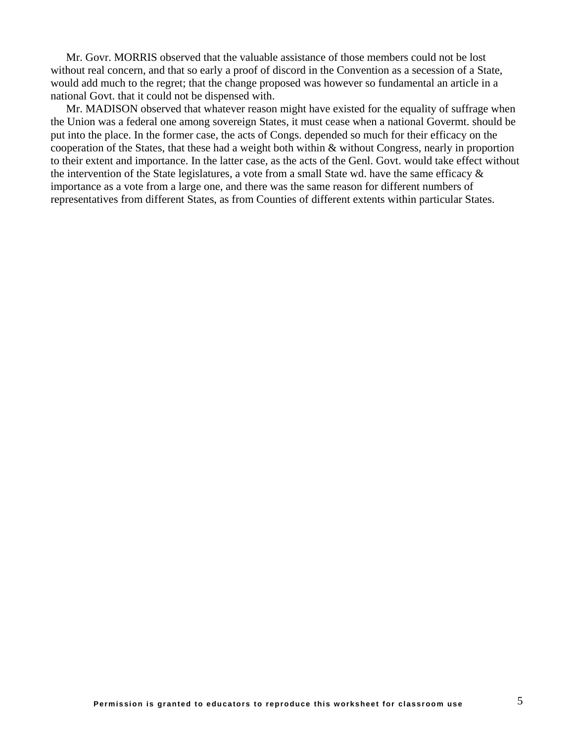[Mr. Govr. MORRIS](http://www.teachingamericanhistory.com/convention/debates/0530.html##) observed that the valuable assistance of those members could not be lost without real concern, and that so early a proof of discord in the Convention as a secession of a State, would add much to the regret; that the change proposed was however so fundamental an article in a national Govt. that it could not be dispensed with.

[Mr. MADISON](http://www.teachingamericanhistory.com/convention/debates/0530.html##) observed that whatever reason might have existed for the equality of suffrage when the Union was a federal one among sovereign States, it must cease when a national Govermt. should be put into the place. In the former case, the acts of Congs. depended so much for their efficacy on the cooperation of the States, that these had a weight both within & without Congress, nearly in proportion to their extent and importance. In the latter case, as the acts of the Genl. Govt. would take effect without the intervention of the State legislatures, a vote from a small State wd. have the same efficacy & importance as a vote from a large one, and there was the same reason for different numbers of representatives from different States, as from Counties of different extents within particular States.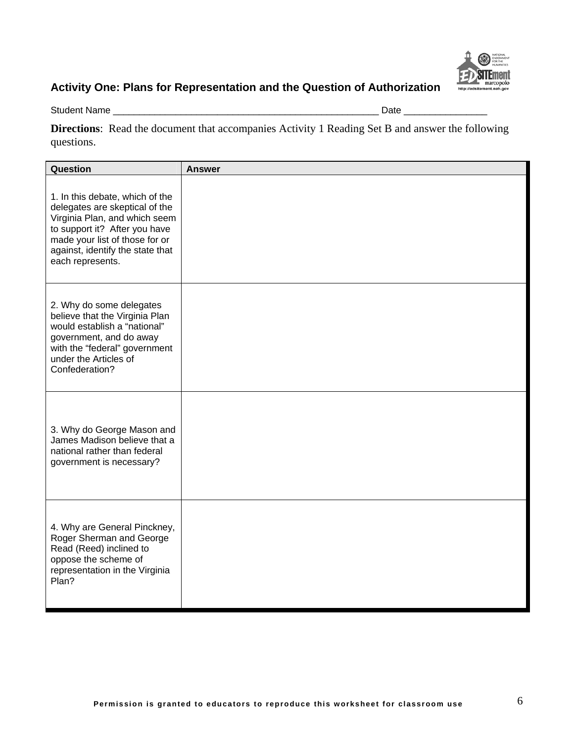

Student Name \_\_\_\_\_\_\_\_\_\_\_\_\_\_\_\_\_\_\_\_\_\_\_\_\_\_\_\_\_\_\_\_\_\_\_\_\_\_\_\_\_\_\_\_\_\_\_\_\_\_\_ Date \_\_\_\_\_\_\_\_\_\_\_\_\_\_\_\_

**Directions**: Read the document that accompanies Activity 1 Reading Set B and answer the following questions.

| Question                                                                                                                                                                                                                      | <b>Answer</b> |
|-------------------------------------------------------------------------------------------------------------------------------------------------------------------------------------------------------------------------------|---------------|
| 1. In this debate, which of the<br>delegates are skeptical of the<br>Virginia Plan, and which seem<br>to support it? After you have<br>made your list of those for or<br>against, identify the state that<br>each represents. |               |
| 2. Why do some delegates<br>believe that the Virginia Plan<br>would establish a "national"<br>government, and do away<br>with the "federal" government<br>under the Articles of<br>Confederation?                             |               |
| 3. Why do George Mason and<br>James Madison believe that a<br>national rather than federal<br>government is necessary?                                                                                                        |               |
| 4. Why are General Pinckney,<br>Roger Sherman and George<br>Read (Reed) inclined to<br>oppose the scheme of<br>representation in the Virginia<br>Plan?                                                                        |               |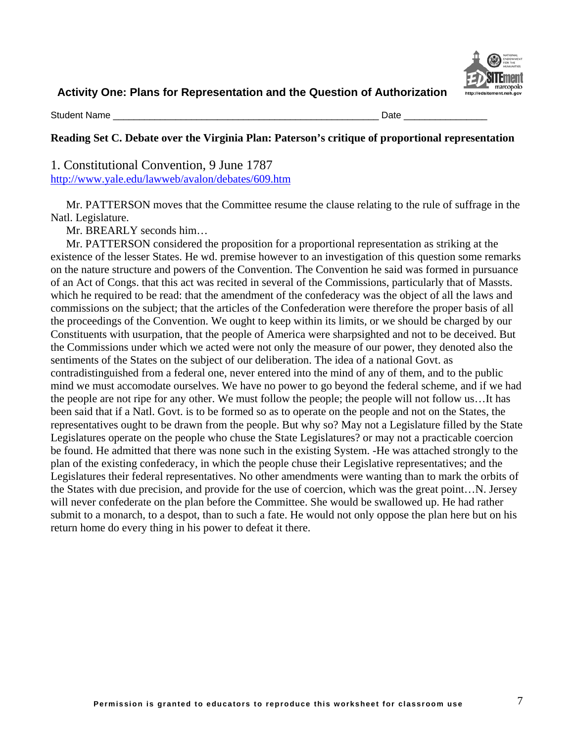

Student Name \_\_\_\_\_\_\_\_\_\_\_\_\_\_\_\_\_\_\_\_\_\_\_\_\_\_\_\_\_\_\_\_\_\_\_\_\_\_\_\_\_\_\_\_\_\_\_\_\_\_\_ Date \_\_\_\_\_\_\_\_\_\_\_\_\_\_\_\_

## **Reading Set C. Debate over the Virginia Plan: Paterson's critique of proportional representation**

1. Constitutional Convention, 9 June 1787 <http://www.yale.edu/lawweb/avalon/debates/609.htm>

[Mr. PATTERSON](http://www.teachingamericanhistory.com/convention/debates/0609.html##) moves that the Committee resume the clause relating to the rule of suffrage in the Natl. Legislature.

[Mr. BREARLY](http://www.teachingamericanhistory.com/convention/debates/0609.html##) seconds him…

[Mr. PATTERSON](http://www.teachingamericanhistory.com/convention/debates/0609.html##) considered the proposition for a proportional representation as striking at the existence of the lesser States. He wd. premise however to an investigation of this question some remarks on the nature structure and powers of the Convention. The Convention he said was formed in pursuance of an Act of Congs. that this act was recited in several of the Commissions, particularly that of Massts. which he required to be read: that the amendment of the confederacy was the object of all the laws and commissions on the subject; that the articles of the Confederation were therefore the proper basis of all the proceedings of the Convention. We ought to keep within its limits, or we should be charged by our Constituents with usurpation, that the people of America were sharpsighted and not to be deceived. But the Commissions under which we acted were not only the measure of our power, they denoted also the sentiments of the States on the subject of our deliberation. The idea of a national Govt. as contradistinguished from a federal one, never entered into the mind of any of them, and to the public mind we must accomodate ourselves. We have no power to go beyond the federal scheme, and if we had the people are not ripe for any other. We must follow the people; the people will not follow us…It has been said that if a Natl. Govt. is to be formed so as to operate on the people and not on the States, the representatives ought to be drawn from the people. But why so? May not a Legislature filled by the State Legislatures operate on the people who chuse the State Legislatures? or may not a practicable coercion be found. He admitted that there was none such in the existing System. -He was attached strongly to the plan of the existing confederacy, in which the people chuse their Legislative representatives; and the Legislatures their federal representatives. No other amendments were wanting than to mark the orbits of the States with due precision, and provide for the use of coercion, which was the great point…N. Jersey will never confederate on the plan before the Committee. She would be swallowed up. He had rather submit to a monarch, to a despot, than to such a fate. He would not only oppose the plan here but on his return home do every thing in his power to defeat it there.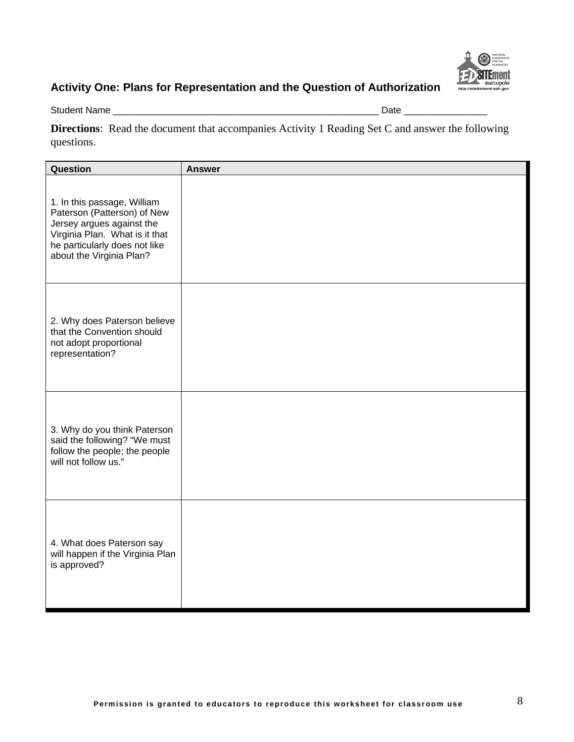

Student Name \_\_\_\_\_\_\_\_\_\_\_\_\_\_\_\_\_\_\_\_\_\_\_\_\_\_\_\_\_\_\_\_\_\_\_\_\_\_\_\_\_\_\_\_\_\_\_\_\_\_\_ Date \_\_\_\_\_\_\_\_\_\_\_\_\_\_\_\_

**Directions**: Read the document that accompanies Activity 1 Reading Set C and answer the following questions.

| Question                                                                                                                                                                               | <b>Answer</b> |
|----------------------------------------------------------------------------------------------------------------------------------------------------------------------------------------|---------------|
| 1. In this passage, William<br>Paterson (Patterson) of New<br>Jersey argues against the<br>Virginia Plan. What is it that<br>he particularly does not like<br>about the Virginia Plan? |               |
| 2. Why does Paterson believe<br>that the Convention should<br>not adopt proportional<br>representation?                                                                                |               |
| 3. Why do you think Paterson<br>said the following? "We must<br>follow the people; the people<br>will not follow us."                                                                  |               |
| 4. What does Paterson say<br>will happen if the Virginia Plan<br>is approved?                                                                                                          |               |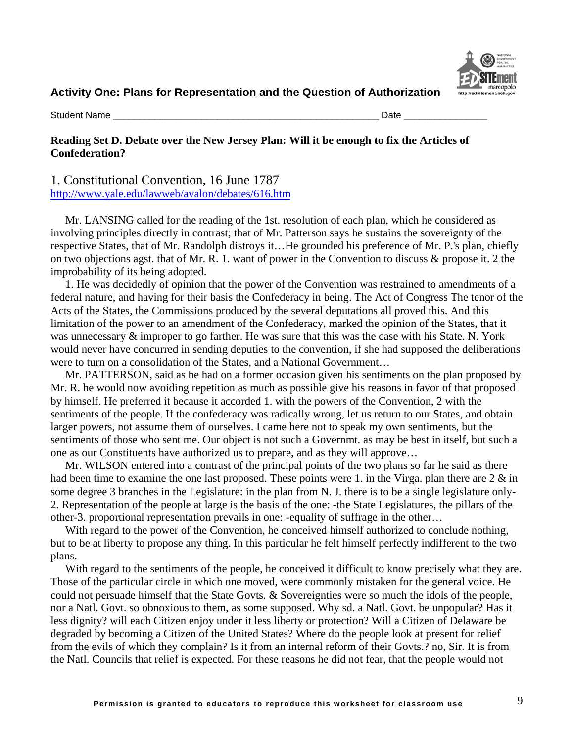

Student Name \_\_\_\_\_\_\_\_\_\_\_\_\_\_\_\_\_\_\_\_\_\_\_\_\_\_\_\_\_\_\_\_\_\_\_\_\_\_\_\_\_\_\_\_\_\_\_\_\_\_\_ Date \_\_\_\_\_\_\_\_\_\_\_\_\_\_\_\_

### **Reading Set D. Debate over the New Jersey Plan: Will it be enough to fix the Articles of Confederation?**

1. Constitutional Convention, 16 June 1787 <http://www.yale.edu/lawweb/avalon/debates/616.htm>

[Mr. LANSING](http://www.teachingamericanhistory.com/convention/debates/0616.html##) called for the reading of the 1st. resolution of each plan, which he considered as involving principles directly in contrast; that of [Mr. Patterson](http://www.teachingamericanhistory.com/convention/debates/0616.html##) says he sustains the sovereignty of the respective States, that of [Mr. Randolph](http://www.teachingamericanhistory.com/convention/debates/0616.html##) distroys it…He grounded his preference of [Mr. P.'s](http://www.teachingamericanhistory.com/convention/debates/0616.html##) plan, chiefly on two objections agst. that of [Mr. R.](http://www.teachingamericanhistory.com/convention/debates/0616.html##) 1. want of power in the Convention to discuss & propose it. 2 the improbability of its being adopted.

1. He was decidedly of opinion that the power of the Convention was restrained to amendments of a federal nature, and having for their basis the Confederacy in being. The Act of Congress The tenor of the Acts of the States, the Commissions produced by the several deputations all proved this. And this limitation of the power to an amendment of the Confederacy, marked the opinion of the States, that it was unnecessary & improper to go farther. He was sure that this was the case with his State. N. York would never have concurred in sending deputies to the convention, if she had supposed the deliberations were to turn on a consolidation of the States, and a National Government…

[Mr. PATTERSON,](http://www.teachingamericanhistory.com/convention/debates/0616.html##) said as he had on a former occasion given his sentiments on the plan proposed by [Mr. R.](http://www.teachingamericanhistory.com/convention/debates/0616.html##) he would now avoiding repetition as much as possible give his reasons in favor of that proposed by himself. He preferred it because it accorded 1. with the powers of the Convention, 2 with the sentiments of the people. If the confederacy was radically wrong, let us return to our States, and obtain larger powers, not assume them of ourselves. I came here not to speak my own sentiments, but the sentiments of those who sent me. Our object is not such a Governmt. as may be best in itself, but such a one as our Constituents have authorized us to prepare, and as they will approve…

[Mr. WILSON](http://www.teachingamericanhistory.com/convention/debates/0616.html##) entered into a contrast of the principal points of the two plans so far he said as there had been time to examine the one last proposed. These points were 1. in the Virga. plan there are 2  $\&$  in some degree 3 branches in the Legislature: in the plan from N. J. there is to be a single legislature only-2. Representation of the people at large is the basis of the one: -the State Legislatures, the pillars of the other-3. proportional representation prevails in one: -equality of suffrage in the other…

With regard to the power of the Convention, he conceived himself authorized to conclude nothing, but to be at liberty to propose any thing. In this particular he felt himself perfectly indifferent to the two plans.

With regard to the sentiments of the people, he conceived it difficult to know precisely what they are. Those of the particular circle in which one moved, were commonly mistaken for the general voice. He could not persuade himself that the State Govts. & Sovereignties were so much the idols of the people, nor a Natl. Govt. so obnoxious to them, as some supposed. Why sd. a Natl. Govt. be unpopular? Has it less dignity? will each Citizen enjoy under it less liberty or protection? Will a Citizen of Delaware be degraded by becoming a Citizen of the United States? Where do the people look at present for relief from the evils of which they complain? Is it from an internal reform of their Govts.? no, Sir. It is from the Natl. Councils that relief is expected. For these reasons he did not fear, that the people would not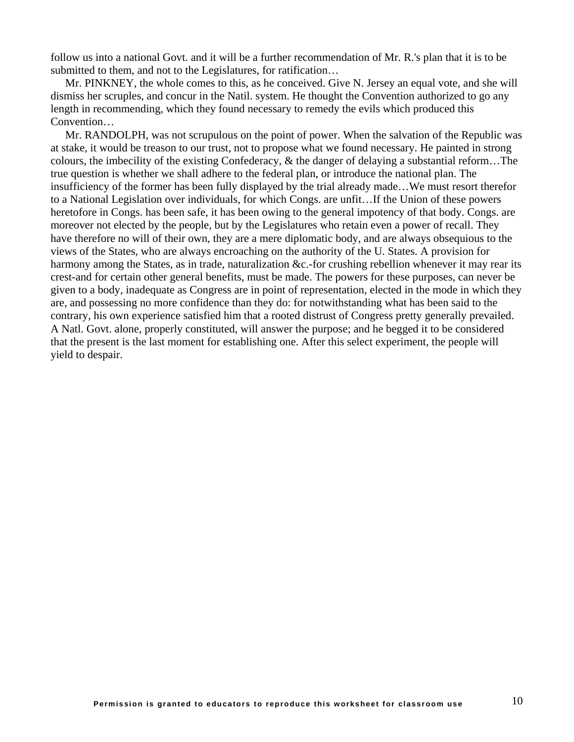follow us into a national Govt. and it will be a further recommendation of [Mr. R.'s](http://www.teachingamericanhistory.com/convention/debates/0616.html##) plan that it is to be submitted to them, and not to the Legislatures, for ratification...

[Mr. PINKNEY,](http://www.teachingamericanhistory.com/convention/debates/0616.html##) the whole comes to this, as he conceived. Give N. Jersey an equal vote, and she will dismiss her scruples, and concur in the Natil. system. He thought the Convention authorized to go any length in recommending, which they found necessary to remedy the evils which produced this Convention…

[Mr. RANDOLPH,](http://www.teachingamericanhistory.com/convention/debates/0616.html##) was not scrupulous on the point of power. When the salvation of the Republic was at stake, it would be treason to our trust, not to propose what we found necessary. He painted in strong colours, the imbecility of the existing Confederacy, & the danger of delaying a substantial reform…The true question is whether we shall adhere to the federal plan, or introduce the national plan. The insufficiency of the former has been fully displayed by the trial already made…We must resort therefor to a National Legislation over individuals, for which Congs. are unfit…If the Union of these powers heretofore in Congs. has been safe, it has been owing to the general impotency of that body. Congs. are moreover not elected by the people, but by the Legislatures who retain even a power of recall. They have therefore no will of their own, they are a mere diplomatic body, and are always obsequious to the views of the States, who are always encroaching on the authority of the U. States. A provision for harmony among the States, as in trade, naturalization &c.-for crushing rebellion whenever it may rear its crest-and for certain other general benefits, must be made. The powers for these purposes, can never be given to a body, inadequate as Congress are in point of representation, elected in the mode in which they are, and possessing no more confidence than they do: for notwithstanding what has been said to the contrary, his own experience satisfied him that a rooted distrust of Congress pretty generally prevailed. A Natl. Govt. alone, properly constituted, will answer the purpose; and he begged it to be considered that the present is the last moment for establishing one. After this select experiment, the people will yield to despair.